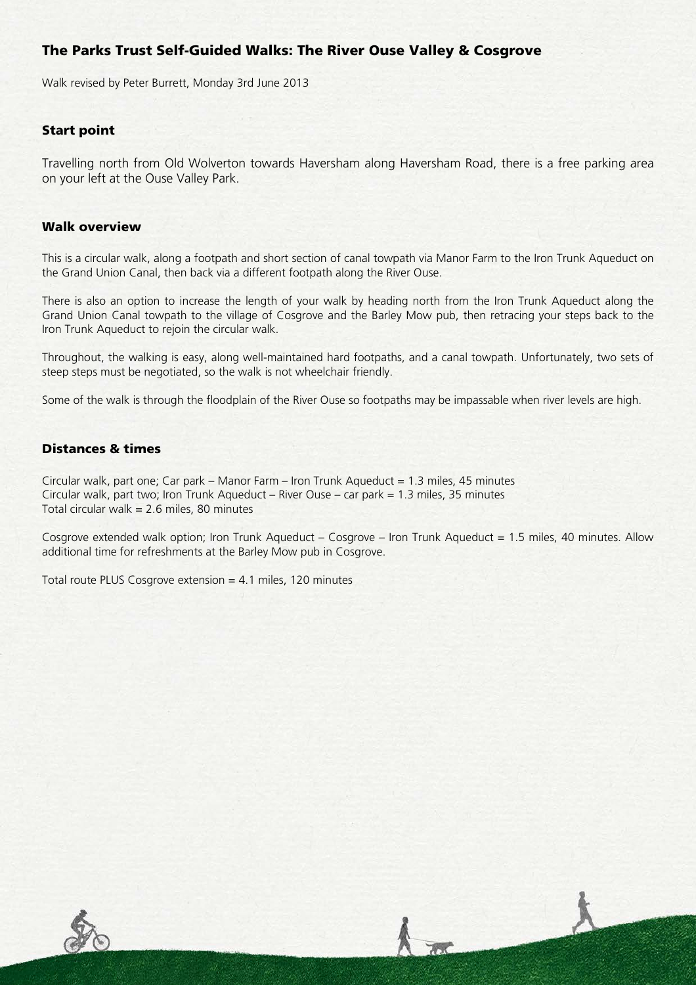# The Parks Trust Self-Guided Walks: The River Ouse Valley & Cosgrove

Walk revised by Peter Burrett, Monday 3rd June 2013

### Start point

Travelling north from Old Wolverton towards Haversham along Haversham Road, there is a free parking area on your left at the Ouse Valley Park.

#### Walk overview

This is a circular walk, along a footpath and short section of canal towpath via Manor Farm to the Iron Trunk Aqueduct on the Grand Union Canal, then back via a different footpath along the River Ouse.

There is also an option to increase the length of your walk by heading north from the Iron Trunk Aqueduct along the Grand Union Canal towpath to the village of Cosgrove and the Barley Mow pub, then retracing your steps back to the Iron Trunk Aqueduct to rejoin the circular walk.

Throughout, the walking is easy, along well-maintained hard footpaths, and a canal towpath. Unfortunately, two sets of steep steps must be negotiated, so the walk is not wheelchair friendly.

Some of the walk is through the floodplain of the River Ouse so footpaths may be impassable when river levels are high.

## Distances & times

Circular walk, part one; Car park – Manor Farm – Iron Trunk Aqueduct =  $1.3$  miles, 45 minutes Circular walk, part two; Iron Trunk Aqueduct – River Ouse – car park = 1.3 miles, 35 minutes Total circular walk = 2.6 miles, 80 minutes

Cosgrove extended walk option; Iron Trunk Aqueduct – Cosgrove – Iron Trunk Aqueduct = 1.5 miles, 40 minutes. Allow additional time for refreshments at the Barley Mow pub in Cosgrove.

Total route PLUS Cosgrove extension  $= 4.1$  miles, 120 minutes

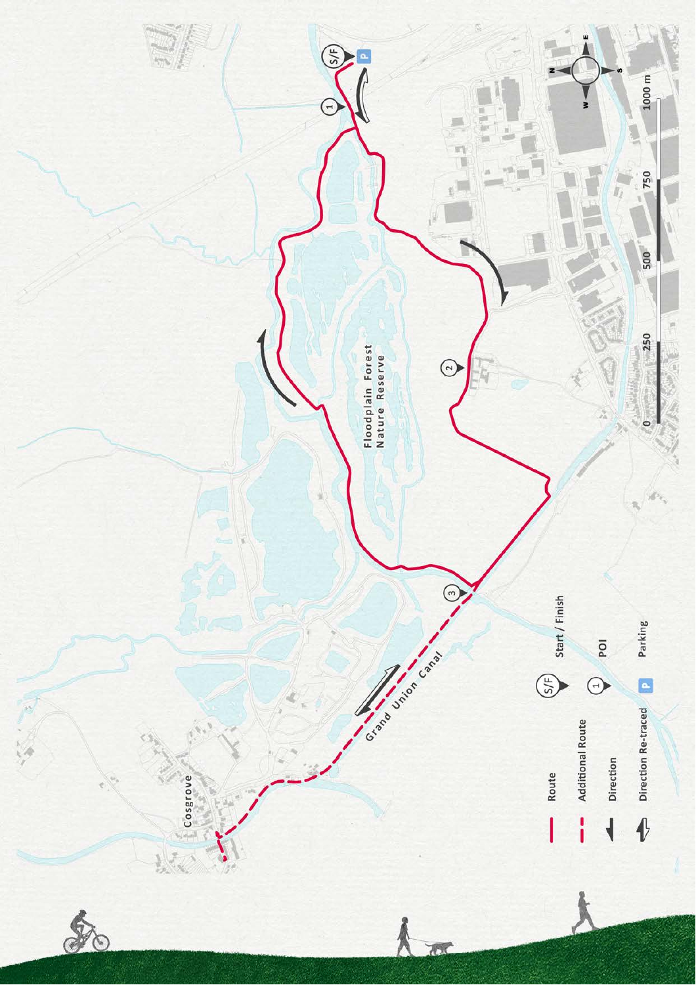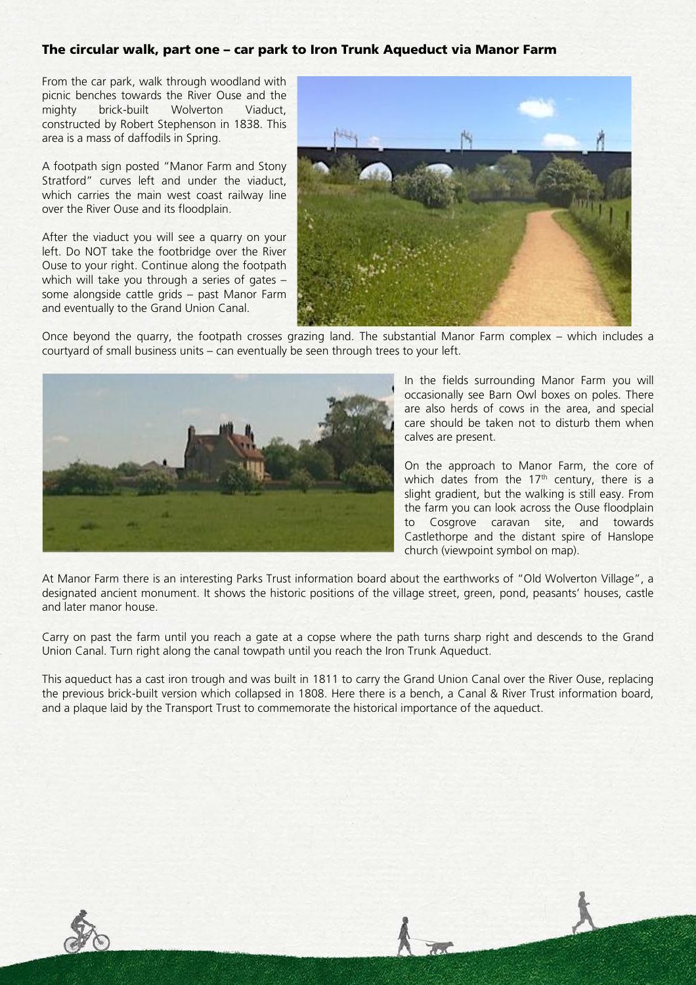#### The circular walk, part one – car park to Iron Trunk Aqueduct via Manor Farm

From the car park, walk through woodland with picnic benches towards the River Ouse and the mighty brick-built Wolverton Viaduct, constructed by Robert Stephenson in 1838. This area is a mass of daffodils in Spring.

A footpath sign posted "Manor Farm and Stony Stratford" curves left and under the viaduct, which carries the main west coast railway line over the River Ouse and its floodplain.

After the viaduct you will see a quarry on your left. Do NOT take the footbridge over the River Ouse to your right. Continue along the footpath which will take you through a series of gates – some alongside cattle grids – past Manor Farm and eventually to the Grand Union Canal.



Once beyond the quarry, the footpath crosses grazing land. The substantial Manor Farm complex – which includes a courtyard of small business units – can eventually be seen through trees to your left.



In the fields surrounding Manor Farm you will occasionally see Barn Owl boxes on poles. There are also herds of cows in the area, and special care should be taken not to disturb them when calves are present.

On the approach to Manor Farm, the core of which dates from the  $17<sup>th</sup>$  century, there is a slight gradient, but the walking is still easy. From the farm you can look across the Ouse floodplain to Cosgrove caravan site, and towards Castlethorpe and the distant spire of Hanslope church (viewpoint symbol on map).

At Manor Farm there is an interesting Parks Trust information board about the earthworks of "Old Wolverton Village", a designated ancient monument. It shows the historic positions of the village street, green, pond, peasants' houses, castle and later manor house.

Carry on past the farm until you reach a gate at a copse where the path turns sharp right and descends to the Grand Union Canal. Turn right along the canal towpath until you reach the Iron Trunk Aqueduct.

This aqueduct has a cast iron trough and was built in 1811 to carry the Grand Union Canal over the River Ouse, replacing the previous brick-built version which collapsed in 1808. Here there is a bench, a Canal & River Trust information board, and a plaque laid by the Transport Trust to commemorate the historical importance of the aqueduct.